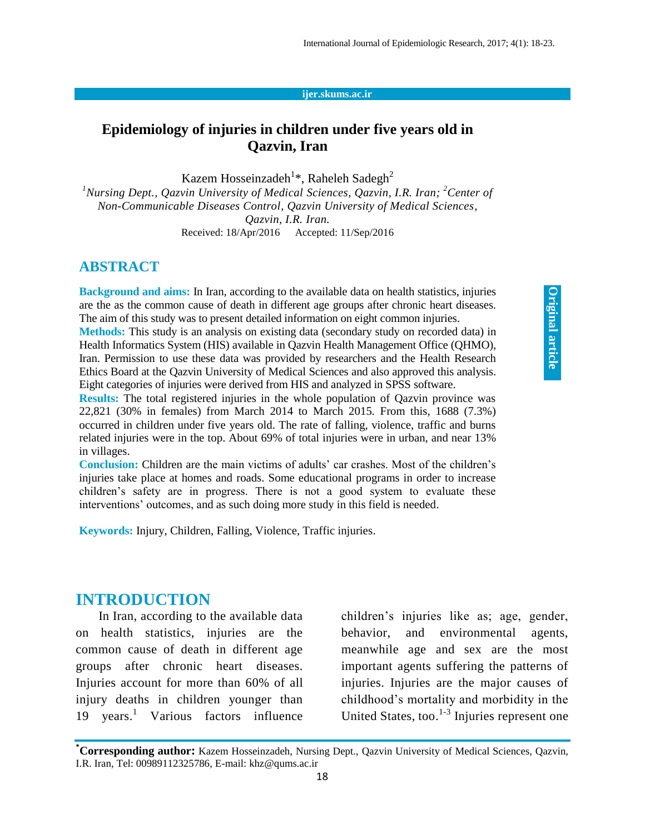#### **ijer.skums.ac.ir**

## **Epidemiology of injuries in children under five years old in Qazvin, Iran**

Kazem Hosseinzadeh<sup>1</sup>\*, Raheleh Sadegh<sup>2</sup>

<sup>1</sup>*Nursing Dept., Qazvin University of Medical Sciences, Qazvin, I.R. Iran; <sup>2</sup>Center of Non-Communicable Diseases Control, Qazvin University of Medical Sciences, Qazvin, I.R. Iran.*

Received: 18/Apr/2016 Accepted: 11/Sep/2016

#### **ABSTRACT**

**Background and aims:** In Iran, according to the available data on health statistics, injuries are the as the common cause of death in different age groups after chronic heart diseases. The aim of this study was to present detailed information on eight common injuries.

**Methods:** This study is an analysis on existing data (secondary study on recorded data) in Health Informatics System (HIS) available in Qazvin Health Management Office (QHMO), Iran. Permission to use these data was provided by researchers and the Health Research Ethics Board at the Qazvin University of Medical Sciences and also approved this analysis. Eight categories of injuries were derived from HIS and analyzed in SPSS software.

**Results:** The total registered injuries in the whole population of Qazvin province was 22,821 (30% in females) from March 2014 to March 2015. From this, 1688 (7.3%) occurred in children under five years old. The rate of falling, violence, traffic and burns related injuries were in the top. About 69% of total injuries were in urban, and near 13% in villages.

**Conclusion:** Children are the main victims of adults' car crashes. Most of the children's injuries take place at homes and roads. Some educational programs in order to increase children's safety are in progress. There is not a good system to evaluate these interventions' outcomes, and as such doing more study in this field is needed.

**Keywords:** Injury, Children, Falling, Violence, Traffic injuries.

#### **INTRODUCTION**

In Iran, according to the available data on health statistics, injuries are the common cause of death in different age groups after chronic heart diseases. Injuries account for more than 60% of all injury deaths in children younger than 19 years.<sup>1</sup> Various factors influence children's injuries like as; age, gender, behavior, and environmental agents, meanwhile age and sex are the most important agents suffering the patterns of injuries. Injuries are the major causes of childhood's mortality and morbidity in the United States, too.<sup>1-3</sup> Injuries represent one

**<sup>\*</sup>Corresponding author:** Kazem Hosseinzadeh, Nursing Dept., Qazvin University of Medical Sciences, Qazvin, I.R. Iran, Tel: 00989112325786, E-mail: khz@qums.ac.ir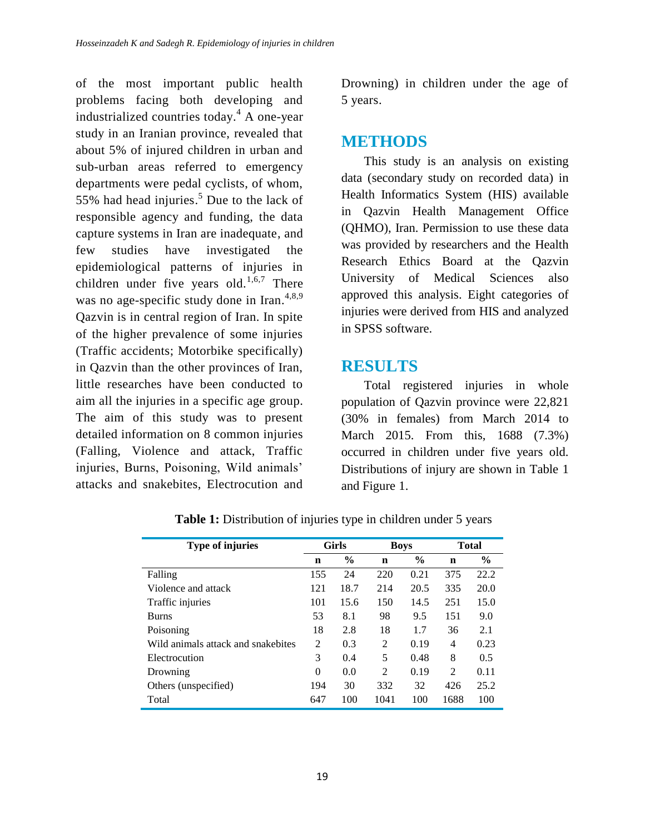of the most important public health problems facing both developing and industrialized countries today. <sup>4</sup> A one-year study in an Iranian province, revealed that about 5% of injured children in urban and sub-urban areas referred to emergency departments were pedal cyclists, of whom, 55% had head injuries. <sup>5</sup> Due to the lack of responsible agency and funding, the data capture systems in Iran are inadequate, and few studies have investigated the epidemiological patterns of injuries in children under five years old. $1,6,7$  There was no age-specific study done in Iran.<sup>4,8,9</sup> Qazvin is in central region of Iran. In spite of the higher prevalence of some injuries (Traffic accidents; Motorbike specifically) in Qazvin than the other provinces of Iran, little researches have been conducted to aim all the injuries in a specific age group. The aim of this study was to present detailed information on 8 common injuries (Falling, Violence and attack, Traffic injuries, Burns, Poisoning, Wild animals' attacks and snakebites, Electrocution and

Drowning) in children under the age of 5 years.

## **METHODS**

This study is an analysis on existing data (secondary study on recorded data) in Health Informatics System (HIS) available in Qazvin Health Management Office (QHMO), Iran. Permission to use these data was provided by researchers and the Health Research Ethics Board at the Qazvin University of Medical Sciences also approved this analysis. Eight categories of injuries were derived from HIS and analyzed in SPSS software.

# **RESULTS**

Total registered injuries in whole population of Qazvin province were 22,821 (30% in females) from March 2014 to March 2015. From this, 1688 (7.3%) occurred in children under five years old. Distributions of injury are shown in Table 1 and Figure 1.

| <b>Type of injuries</b>            | Girls       |               | <b>Boys</b> |               | <b>Total</b>   |               |
|------------------------------------|-------------|---------------|-------------|---------------|----------------|---------------|
|                                    | $\mathbf n$ | $\frac{6}{9}$ | n           | $\frac{6}{9}$ | $\mathbf n$    | $\frac{6}{9}$ |
| Falling                            | 155         | 24            | 220         | 0.21          | 375            | 22.2          |
| Violence and attack                | 121         | 18.7          | 214         | 20.5          | 335            | 20.0          |
| Traffic injuries                   | 101         | 15.6          | 150         | 14.5          | 251            | 15.0          |
| <b>Burns</b>                       | 53          | 8.1           | 98          | 9.5           | 151            | 9.0           |
| Poisoning                          | 18          | 2.8           | 18          | 1.7           | 36             | 2.1           |
| Wild animals attack and snakebites | 2           | 0.3           | 2           | 0.19          | 4              | 0.23          |
| Electrocution                      | 3           | 0.4           | 5           | 0.48          | 8              | 0.5           |
| Drowning                           | $\Omega$    | 0.0           | 2           | 0.19          | $\mathfrak{D}$ | 0.11          |
| Others (unspecified)               | 194         | 30            | 332         | 32            | 426            | 25.2          |
| Total                              | 647         | 100           | 1041        | 100           | 1688           | 100           |

**Table 1:** Distribution of injuries type in children under 5 years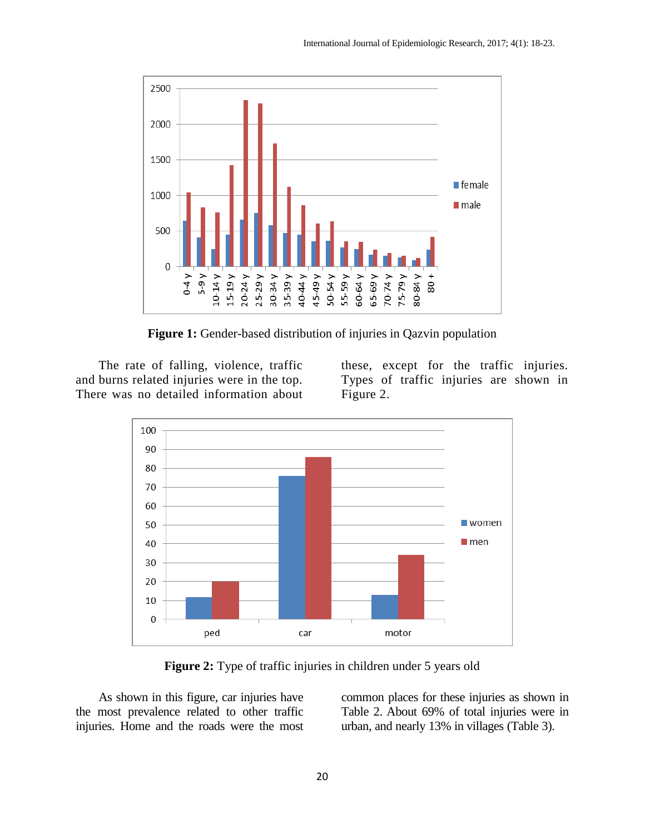

**Figure 1:** Gender-based distribution of injuries in Qazvin population

The rate of falling, violence, traffic and burns related injuries were in the top. There was no detailed information about

these, except for the traffic injuries. Types of traffic injuries are shown in Figure 2.



**Figure 2:** Type of traffic injuries in children under 5 years old

As shown in this figure, car injuries have the most prevalence related to other traffic injuries. Home and the roads were the most common places for these injuries as shown in Table 2. About 69% of total injuries were in urban, and nearly 13% in villages (Table 3).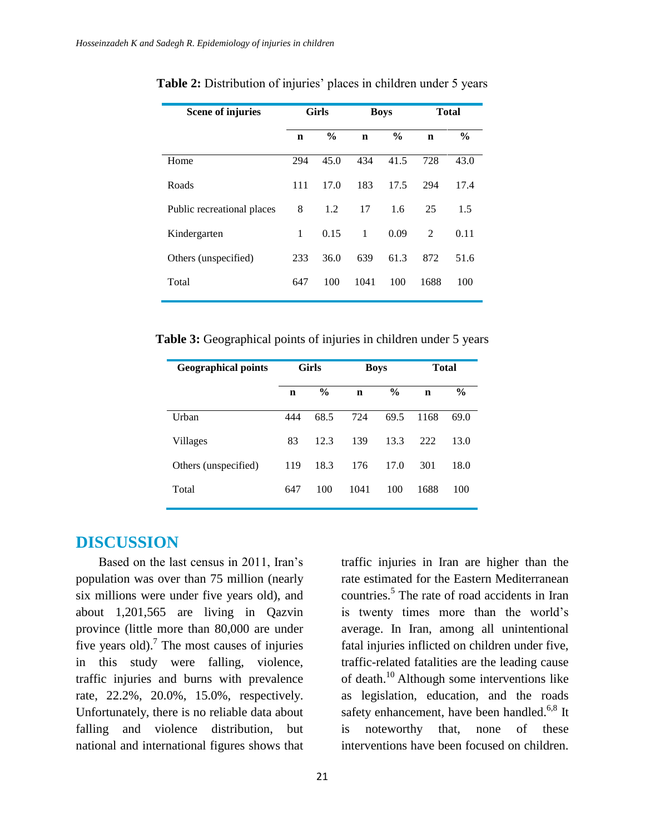| <b>Scene of injuries</b>   | <b>Girls</b> |               | <b>Boys</b> |               | <b>Total</b> |               |
|----------------------------|--------------|---------------|-------------|---------------|--------------|---------------|
|                            | $\mathbf n$  | $\frac{6}{9}$ | $\mathbf n$ | $\frac{6}{9}$ | $\mathbf n$  | $\frac{6}{9}$ |
| Home                       | 294          | 45.0          | 434         | 41.5          | 728          | 43.0          |
| Roads                      | 111          | 17.0          | 183         | 17.5          | 294          | 17.4          |
| Public recreational places | 8            | 1.2           | 17          | 1.6           | 25           | 1.5           |
| Kindergarten               | $\mathbf{1}$ | 0.15          | 1           | 0.09          | 2            | 0.11          |
| Others (unspecified)       | 233          | 36.0          | 639         | 61.3          | 872          | 51.6          |
| Total                      | 647          | 100           | 1041        | 100           | 1688         | 100           |

**Table 2:** Distribution of injuries' places in children under 5 years

**Table 3:** Geographical points of injuries in children under 5 years

| <b>Geographical points</b> | <b>Girls</b> |               | <b>Boys</b> |               | <b>Total</b> |               |
|----------------------------|--------------|---------------|-------------|---------------|--------------|---------------|
|                            | $\mathbf n$  | $\frac{6}{9}$ | $\mathbf n$ | $\frac{6}{9}$ | $\mathbf n$  | $\frac{6}{9}$ |
| Urban                      | 444          | 68.5          | 724         | 69.5          | 1168         | 69.0          |
| <b>Villages</b>            | 83           | 12.3          | 139         | 13.3          | 222          | 13.0          |
| Others (unspecified)       | 119          | 18.3          | 176         | 17.0          | 301          | 18.0          |
| Total                      | 647          | 100           | 1041        | 100           | 1688         | 100           |

## **DISCUSSION**

Based on the last census in 2011, Iran's population was over than 75 million (nearly six millions were under five years old), and about 1,201,565 are living in Qazvin province (little more than 80,000 are under five years old).<sup>7</sup> The most causes of injuries in this study were falling, violence, traffic injuries and burns with prevalence rate, 22.2%, 20.0%, 15.0%, respectively. Unfortunately, there is no reliable data about falling and violence distribution, but national and international figures shows that

traffic injuries in Iran are higher than the rate estimated for the Eastern Mediterranean countries. 5 The rate of road accidents in Iran is twenty times more than the world's average. In Iran, among all unintentional fatal injuries inflicted on children under five, traffic-related fatalities are the leading cause of death. <sup>10</sup> Although some interventions like as legislation, education, and the roads safety enhancement, have been handled.<sup>6,8</sup> It is noteworthy that, none of these interventions have been focused on children.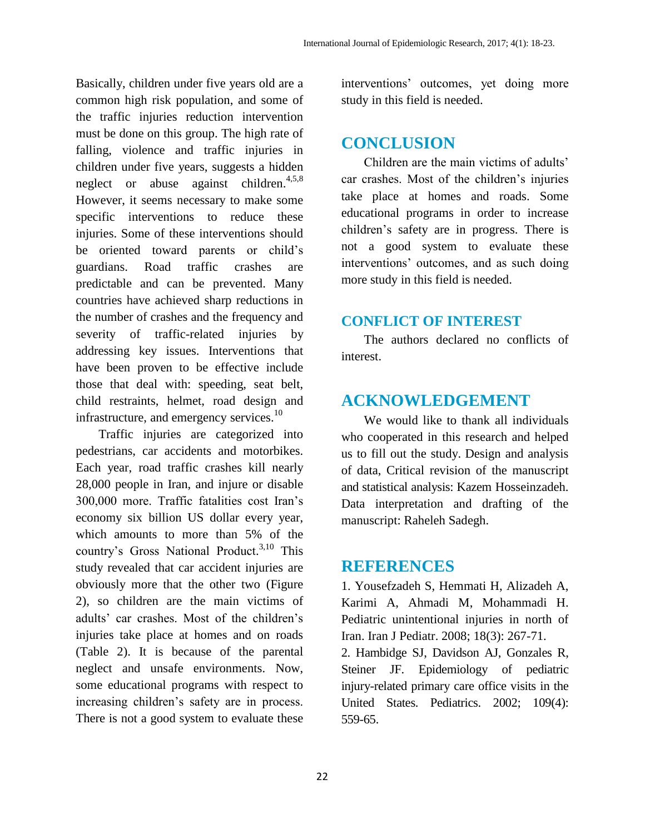Basically, children under five years old are a common high risk population, and some of the traffic injuries reduction intervention must be done on this group. The high rate of falling, violence and traffic injuries in children under five years, suggests a hidden neglect or abuse against children.<sup>4,5,8</sup> However, it seems necessary to make some specific interventions to reduce these injuries. Some of these interventions should be oriented toward parents or child's guardians. Road traffic crashes are predictable and can be prevented. Many countries have achieved sharp reductions in the number of crashes and the frequency and severity of traffic-related injuries by addressing key issues. Interventions that have been proven to be effective include those that deal with: speeding, seat belt, child restraints, helmet, road design and infrastructure, and emergency services.<sup>10</sup>

Traffic injuries are categorized into pedestrians, car accidents and motorbikes. Each year, road traffic crashes kill nearly 28,000 people in Iran, and injure or disable 300,000 more. Traffic fatalities cost Iran's economy six billion US dollar every year, which amounts to more than 5% of the country's Gross National Product. 3,10 This study revealed that car accident injuries are obviously more that the other two (Figure 2), so children are the main victims of adults' car crashes. Most of the children's injuries take place at homes and on roads (Table 2). It is because of the parental neglect and unsafe environments. Now, some educational programs with respect to increasing children's safety are in process. There is not a good system to evaluate these

interventions' outcomes, yet doing more study in this field is needed.

# **CONCLUSION**

Children are the main victims of adults' car crashes. Most of the children's injuries take place at homes and roads. Some educational programs in order to increase children's safety are in progress. There is not a good system to evaluate these interventions' outcomes, and as such doing more study in this field is needed.

### **CONFLICT OF INTEREST**

The authors declared no conflicts of interest.

# **ACKNOWLEDGEMENT**

We would like to thank all individuals who cooperated in this research and helped us to fill out the study. Design and analysis of data, Critical revision of the manuscript and statistical analysis: Kazem Hosseinzadeh. Data interpretation and drafting of the manuscript: Raheleh Sadegh.

## **REFERENCES**

1. Yousefzadeh S, Hemmati H, Alizadeh A, Karimi A, Ahmadi M, Mohammadi H. Pediatric unintentional injuries in north of Iran. Iran J Pediatr. 2008; 18(3): 267-71.

2. Hambidge SJ, Davidson AJ, Gonzales R, Steiner JF. Epidemiology of pediatric injury-related primary care office visits in the United States. Pediatrics. 2002; 109(4): 559-65.